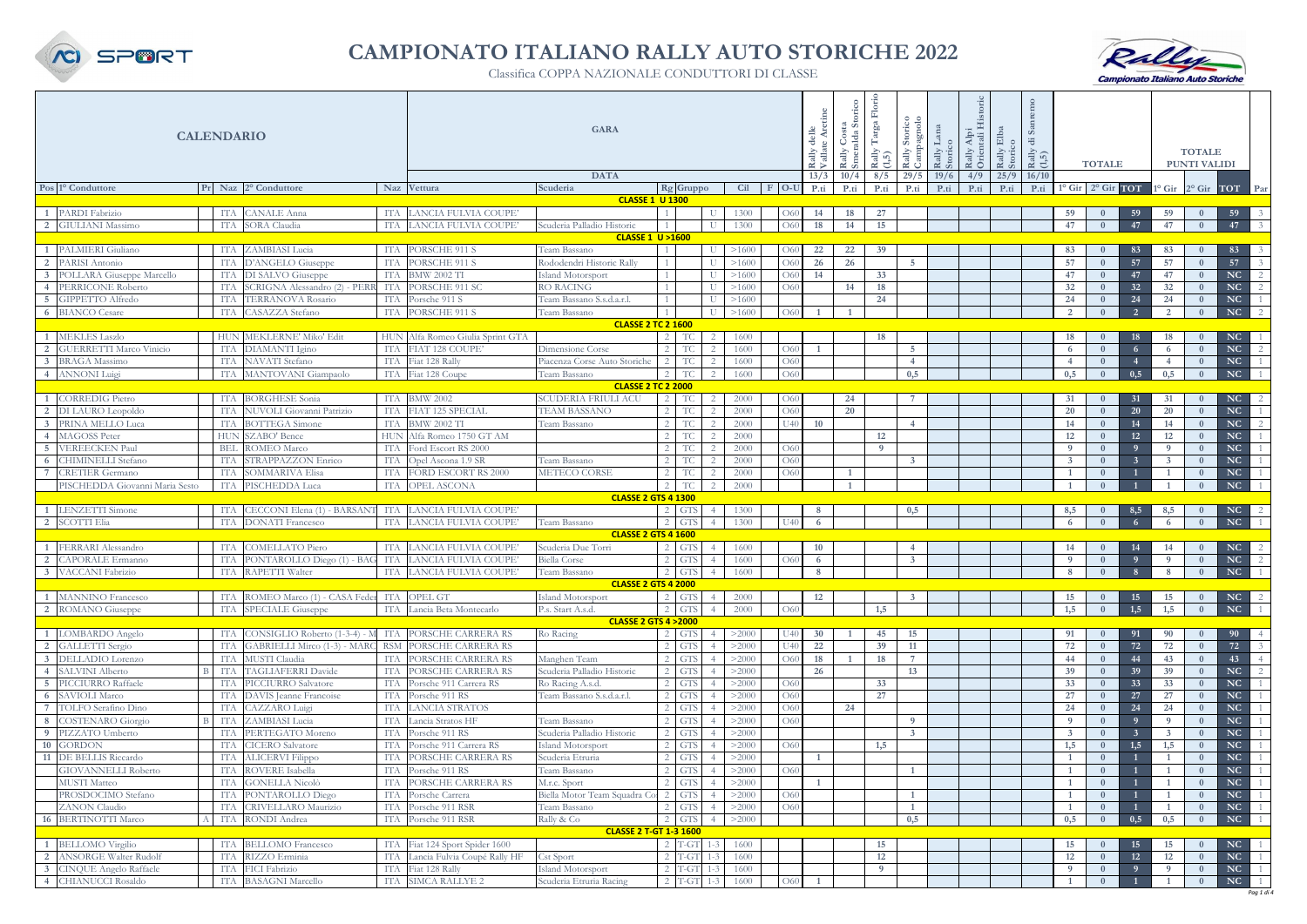| <b>CALENDARIO</b>          |                                                        |                   |                                              |            | <b>GARA</b><br>delle<br><b>DATA</b><br>13/3         |                                                      |                      |         |              |                |           | Rally Costa<br>Smeralda Sto<br>10/4 | Rally<br>(1,5)<br>8/5 | Rally Storico<br>Campagnolo<br>29/5 | Rally Lana<br>Storico<br>19/6 | Alpi<br>tali<br>Rally<br>$\circ$<br>4/9 | $\mathbb{E}$ is $\mathbb{E}$<br>Rally<br>Storic<br>$25/9$ 16/10 | ၯ<br>ਚ<br>Rally<br>(1,5) |              | <b>TOTALE</b>                   |                |              | <b>TOTALE</b><br>PUNTI VALIDI |                        |                |
|----------------------------|--------------------------------------------------------|-------------------|----------------------------------------------|------------|-----------------------------------------------------|------------------------------------------------------|----------------------|---------|--------------|----------------|-----------|-------------------------------------|-----------------------|-------------------------------------|-------------------------------|-----------------------------------------|-----------------------------------------------------------------|--------------------------|--------------|---------------------------------|----------------|--------------|-------------------------------|------------------------|----------------|
|                            | Pos 1º Conduttore                                      |                   | Pr Naz 2° Conduttore                         |            | Naz Vettura                                         | Scuderia                                             | Rg Gruppo            |         |              | Cil F O-U      |           | P.ti                                | P.ti                  | P.ti                                | P.ti                          | P.ti                                    | P.ti                                                            | P.ti                     |              | $1^\circ$ Gir $2^\circ$ Gir TOT |                |              | 1° Gir 2° Gir TOT Par         |                        |                |
|                            |                                                        |                   |                                              |            |                                                     | <b>CLASSE 1 U 1300</b>                               |                      |         |              |                | P.ti      |                                     |                       |                                     |                               |                                         |                                                                 |                          |              |                                 |                |              |                               |                        |                |
|                            | PARDI Fabrizio                                         | ITA               | <b>CANALE</b> Anna                           |            | LANCIA FULVIA COUPE'                                |                                                      |                      |         | 1300         |                | 14        | 18                                  | 27                    |                                     |                               |                                         |                                                                 |                          | 59           |                                 | 59             | 59           |                               | 59                     |                |
|                            | <b>GIULIANI</b> Massimo                                | <b>ITA</b>        | SORA Claudia                                 | ITA        | LANCIA FULVIA COUPE'                                | Scuderia Palladio Historic                           |                      |         | 1300         | O60            | 18        | 14                                  | 15                    |                                     |                               |                                         |                                                                 |                          | 47           | $\mathbf{0}$                    | 47             | 47           | $\mathbf{0}$                  | 47                     |                |
|                            |                                                        |                   |                                              |            |                                                     | <b>CLASSE 1 U &gt;1600</b>                           |                      |         |              |                |           |                                     |                       |                                     |                               |                                         |                                                                 |                          |              |                                 |                |              |                               |                        |                |
|                            | PALMIERI Giuliano                                      | ITA               | ZAMBIASI Lucia                               | ITA        | PORSCHE 911 S                                       | Team Bassano                                         |                      |         | >1600        | O <sub>6</sub> | 22        | 22                                  | 39                    |                                     |                               |                                         |                                                                 |                          | 83           |                                 | 83             | 83           |                               | 83                     |                |
|                            | PARISI Antonio                                         | ITA               | D'ANGELO Giuseppe                            | ITA        | PORSCHE 911 S                                       | Rododendri Historic Rally                            |                      |         | >1600        | O <sub>6</sub> | 26        | 26                                  |                       | 5.                                  |                               |                                         |                                                                 |                          | 57           |                                 | 57             | 57           |                               | 57                     |                |
|                            | 3 POLLARA Giuseppe Marcello                            | ITA               | DI SALVO Giuseppe                            | ITA        | <b>BMW 2002 TI</b>                                  | Island Motorsport                                    |                      |         | >1600        | O <sub>6</sub> | 14        |                                     | 33                    |                                     |                               |                                         |                                                                 |                          | 47           |                                 | 47             | 47           |                               | NC                     | $\overline{2}$ |
|                            | 4 PERRICONE Roberto                                    | ITA               | SCRIGNA Alessandro (2) - PER                 | ITA        | PORSCHE 911 SC                                      | <b>RO RACING</b>                                     |                      |         | >1600        | O <sub>6</sub> |           | 14                                  | 18                    |                                     |                               |                                         |                                                                 |                          | 32           |                                 | 32             | 32           |                               | NC                     | 2              |
|                            | GIPPETTO Alfredo                                       | <b>ITA</b>        | <b>TERRANOVA Rosario</b>                     | ITA        | Porsche 911 S                                       | Team Bassano S.s.d.a.r.l.                            |                      |         | >1600        |                |           |                                     | 24                    |                                     |                               |                                         |                                                                 |                          | 24           | $\Omega$                        | 24             | 24           | $\Omega$                      | NC                     | $\overline{1}$ |
|                            | <b>BIANCO</b> Cesare                                   | <b>ITA</b>        | CASAZZA Stefano                              | ITA        | PORSCHE 911 S                                       | Team Bassano                                         |                      |         | >1600        | O60            |           |                                     |                       |                                     |                               |                                         |                                                                 |                          | <sup>2</sup> | $\mathbf{0}$                    | $\overline{2}$ | <sup>2</sup> | $\mathbf{0}$                  | NC                     | 2              |
|                            |                                                        |                   | HUN MEKLERNE' Miko' Edit                     |            |                                                     | <b>CLASSE 2 TC 2 1600</b>                            |                      |         |              |                |           |                                     |                       |                                     |                               |                                         |                                                                 |                          |              |                                 |                |              |                               |                        |                |
|                            | <b>MEKLES Laszlo</b><br><b>GUERRETTI Marco Vinicio</b> |                   |                                              |            | HUN Alfa Romeo Giulia Sprint GTA<br>FIAT 128 COUPE' |                                                      | TС                   |         | 1600         | O60            |           |                                     | 18                    | 5 <sup>1</sup>                      |                               |                                         |                                                                 |                          | 18           |                                 | 18<br>-6       | 18<br>6      |                               | NC<br>NC               | 2              |
|                            | <b>BRAGA</b> Massimo                                   | ITA<br><b>ITA</b> | DIAMANTI Igino                               | ITA<br>ITA | Fiat 128 Rally                                      | Dimensione Corse                                     | TС                   |         | 1600         | O60            |           |                                     |                       | $\overline{4}$                      |                               |                                         |                                                                 |                          | -6           |                                 |                |              |                               | $\mathbf{N}\mathbf{C}$ |                |
|                            | <b>ANNONI</b> Luigi                                    | <b>ITA</b>        | <b>NAVATI</b> Stefano<br>MANTOVANI Giampaolo | ITA        | Fiat 128 Coupe                                      | Piacenza Corse Auto Storiche<br>Team Bassano         | TС<br>TC             |         | 1600<br>1600 | O60            |           |                                     |                       | 0,5                                 |                               |                                         |                                                                 |                          | 0.5          |                                 | 0,5            | 0.5          |                               | <b>NC</b>              |                |
|                            |                                                        |                   |                                              |            |                                                     | <b>CLASSE 2 TC 2 2000</b>                            |                      |         |              |                |           |                                     |                       |                                     |                               |                                         |                                                                 |                          |              |                                 |                |              |                               |                        |                |
|                            | <b>CORREDIG Pietro</b>                                 | <b>ITA</b>        | <b>BORGHESE Sonia</b>                        | <b>ITA</b> | <b>BMW 2002</b>                                     | <b>SCUDERIA FRIULI ACU</b>                           | TC                   | 2       | 2000         | O <sub>6</sub> |           | 24                                  |                       |                                     |                               |                                         |                                                                 |                          | 31           |                                 | 31             | 31           | $\theta$                      | NC                     | 2              |
|                            | DI LAURO Leopoldo                                      | ITA               | NUVOLI Giovanni Patrizio                     | ITA        | FIAT 125 SPECIAL                                    | <b>TEAM BASSANO</b>                                  | TC                   |         | 2000         | O60            |           | 20                                  |                       |                                     |                               |                                         |                                                                 |                          | 20           | $\Omega$                        | <b>20</b>      | 20           | $\mathbf{0}$                  | NC                     | $\overline{1}$ |
|                            | PRINA MELLO Luca                                       | <b>ITA</b>        | <b>BOTTEGA</b> Simone                        | <b>ITA</b> | <b>BMW 2002 TI</b>                                  | Team Bassano                                         | TC                   |         | 2000         | U40            | <b>10</b> |                                     |                       | $\overline{4}$                      |                               |                                         |                                                                 |                          | 14           | $\overline{0}$                  | 14             | 14           | $\bf{0}$                      | NC                     | <sup>2</sup>   |
|                            | <b>MAGOSS Peter</b>                                    | <b>HUN</b>        | SZABO' Bence                                 | <b>HUN</b> | Alfa Romeo 1750 GT AM                               |                                                      | TC                   |         | 2000         |                |           |                                     | 12                    |                                     |                               |                                         |                                                                 |                          | 12           | $\theta$                        | 12             | 12           | $\bf{0}$                      | NC                     |                |
|                            | <b>VEREECKEN Paul</b>                                  | BEI               | <b>ROMEO</b> Marco                           | ITA        | Ford Escort RS 2000                                 |                                                      | TC                   |         | 2000         | O60            |           |                                     | $\overline{9}$        |                                     |                               |                                         |                                                                 |                          | - 9          |                                 | - 9            | - 9          | $\Omega$                      | $\mathbf{N}\mathbf{C}$ |                |
|                            | <b>CHIMINELLI</b> Stefano                              | ITA               | STRAPPAZZON Enrico                           | ITA        | Opel Ascona 1.9 SR                                  | Team Bassano                                         | TС                   |         | 2000         | O60            |           |                                     |                       | $\overline{3}$                      |                               |                                         |                                                                 |                          |              | $\Omega$                        |                | - 3          | $\theta$                      | $\mathbf{N}\mathbf{C}$ |                |
|                            | <b>CRETIER Germano</b>                                 | ITA               | <b>SOMMARIVA Elisa</b>                       | ITA        | FORD ESCORT RS 2000                                 | METECO CORSE                                         | TС                   |         | 2000         | O60            |           | $\overline{1}$                      |                       |                                     |                               |                                         |                                                                 |                          |              | $\theta$                        |                |              |                               | $\mathbf{N}\mathbf{C}$ |                |
|                            | PISCHEDDA Giovanni Maria Sesto                         | <b>ITA</b>        | PISCHEDDA Luca                               | ITA        | OPEL ASCONA                                         |                                                      | 2 <sup>1</sup><br>TC |         | 2000         |                |           |                                     |                       |                                     |                               |                                         |                                                                 |                          |              |                                 |                |              |                               | <b>NC</b>              |                |
| <b>CLASSE 2 GTS 4 1300</b> |                                                        |                   |                                              |            |                                                     |                                                      |                      |         |              |                |           |                                     |                       |                                     |                               |                                         |                                                                 |                          |              |                                 |                |              |                               |                        |                |
|                            | <b>LENZETTI</b> Simone                                 | ITA               | CECCONI Elena (1) - BARSAN                   | ITA        | LANCIA FULVIA COUPE'                                |                                                      | $2$ GTS              |         | 1300         |                | - 8       |                                     |                       | 0,5                                 |                               |                                         |                                                                 |                          | 8,5          |                                 | 8,5            | 8,5          |                               | NC                     |                |
|                            | SCOTTI Elia                                            | ITA               | <b>DONATI</b> Francesco                      | ITA        | LANCIA FULVIA COUPE'                                | Team Bassano                                         | 2 GTS                |         | 1300         |                | -6        |                                     |                       |                                     |                               |                                         |                                                                 |                          |              |                                 |                |              | $\Omega$                      | <b>NC</b>              |                |
|                            |                                                        |                   |                                              |            |                                                     | <b>CLASSE 2 GTS 4 1600</b>                           |                      |         |              |                |           |                                     |                       |                                     |                               |                                         |                                                                 |                          |              |                                 |                |              |                               |                        |                |
|                            | FERRARI Alessandro                                     | ITA               | COMELLATO Piero                              | ITA        | LANCIA FULVIA COUPE                                 | Scuderia Due Torri                                   | 2 GTS                |         | 1600         |                | 10        |                                     |                       |                                     |                               |                                         |                                                                 |                          | 14           |                                 | 14             | 14           |                               | $NC$ 2                 |                |
|                            | <b>CAPORALE Ermanno</b>                                | ITA               | PONTAROLLO Diego (1) - BAG                   | ITA        | LANCIA FULVIA COUPE                                 | <b>Biella Corse</b>                                  | 2 GTS                |         | 1600         | O60            | 6         |                                     |                       | $\overline{3}$                      |                               |                                         |                                                                 |                          | - 9          |                                 | $\overline{9}$ | - 9          |                               | NC                     | $\overline{2}$ |
|                            | 3 VACCANI Fabrizio                                     |                   | ITA RAPETTI Walter                           | ITA        | LANCIA FULVIA COUPE                                 | Feam Bassano                                         | 2 GTS                |         | 1600         |                | - 8       |                                     |                       |                                     |                               |                                         |                                                                 |                          |              |                                 |                |              |                               | NC                     |                |
|                            |                                                        |                   |                                              |            |                                                     | <b>CLASSE 2 GTS 4 2000</b>                           |                      |         |              |                |           |                                     |                       |                                     |                               |                                         |                                                                 |                          |              |                                 |                |              |                               |                        |                |
|                            | 1 MANNINO Francesco                                    | ITA               | ROMEO Marco (1) - CASA Feder ITA OPEL GT     |            |                                                     | Island Motorsport                                    | $2$ GTS              |         | 2000         |                | 12        |                                     |                       |                                     |                               |                                         |                                                                 |                          | 15           |                                 | <b>15</b>      | 15           |                               | $NC$ 2                 | $\overline{1}$ |
|                            | 2 ROMANO Giuseppe                                      | <b>ITA</b>        | SPECIALE Giuseppe                            |            | ITA Lancia Beta Montecarlo                          | P.s. Start A.s.d.<br><b>CLASSE 2 GTS 4 &gt; 2000</b> | 2 GTS                |         | 2000         | O60            |           |                                     | 1,5                   |                                     |                               |                                         |                                                                 |                          | 1,5          | $\theta$                        | 1,5            | 1,5          | $\mathbf{0}$                  | NC                     |                |
|                            | LOMBARDO Angelo                                        |                   | CONSIGLIO Roberto (1-3-4)                    | ITA        | PORSCHE CARRERA RS                                  | Ro Racing                                            | 2 GTS                |         | >2000        |                | 30        |                                     | 45                    | 15                                  |                               |                                         |                                                                 |                          |              |                                 | 91             | 90           |                               | 90                     |                |
|                            | <b>GALLETTI</b> Sergio                                 | <b>ITA</b>        | GABRIELLI Mirco (1-3) - MARC                 | <b>RSM</b> | PORSCHE CARRERA RS                                  |                                                      | 2 GTS                |         | >2000        |                | 22        |                                     | 39                    | 11                                  |                               |                                         |                                                                 |                          | 72           | $\bf{0}$                        | 72             | 72           | $\bf{0}$                      | 72                     | $\overline{3}$ |
|                            | DELLADIO Lorenzo                                       | <b>ITA</b>        | MUSTI Claudia                                | ITA        | PORSCHE CARRERA RS                                  | Manghen Team                                         | 2 GTS                |         | >2000        | O <sub>6</sub> | 18        |                                     | 18                    | $7^{\circ}$                         |                               |                                         |                                                                 |                          | 44           |                                 | 44             | 43           | $\bf{0}$                      | 43                     | $\overline{4}$ |
|                            | <b>SALVINI Alberto</b>                                 | ITA               | TAGLIAFERRI Davide                           | ITA        | PORSCHE CARRERA RS                                  | Scuderia Palladio Historic                           | 2 GTS                |         | >2000        |                | 26        |                                     |                       | 13                                  |                               |                                         |                                                                 |                          | 39           |                                 | 39             | 39           | - 0                           | NC                     | $\overline{2}$ |
|                            | 5 PICCIURRO Raffaele                                   | ITA               | PICCIURRO Salvatore                          | ITA        | Porsche 911 Carrera RS                              | Ro Racing A.s.d.                                     | 2 GTS                |         | >2000        | O <sub>6</sub> |           |                                     | 33                    |                                     |                               |                                         |                                                                 |                          | 33           |                                 | 33             | 33           | $\bf{0}$                      | NC                     | $\overline{1}$ |
|                            | 6 SAVIOLI Marco                                        | ITA               | DAVIS Jeanne Francoise                       | ITA        | Porsche 911 RS                                      | Team Bassano S.s.d.a.r.l                             | 2 GTS                |         | >2000        | O <sub>6</sub> |           |                                     | 27                    |                                     |                               |                                         |                                                                 |                          | 27           |                                 | 27             | 27           | $\overline{0}$                | NC                     | $\overline{1}$ |
|                            | 7 TOLFO Serafino Dino                                  | <b>ITA</b>        | CAZZARO Luigi                                | ITA        | LANCIA STRATOS                                      |                                                      | $2$ GTS              |         | >2000        | O60            |           | 24                                  |                       |                                     |                               |                                         |                                                                 |                          | 24           |                                 | 24             | 24           | $\overline{0}$                | NC                     | $\overline{1}$ |
|                            | <b>COSTENARO</b> Giorgio                               | B ITA             | ZAMBIASI Lucia                               | ITA        | Lancia Stratos HF                                   | Team Bassano                                         | 2 GTS                |         | >2000        | O60            |           |                                     |                       | -9                                  |                               |                                         |                                                                 |                          | $\Omega$     | $\Omega$                        | - 9            | $\mathbf{Q}$ | $\Omega$                      | NC                     |                |
|                            | PIZZATO Umberto                                        | <b>ITA</b>        | PERTEGATO Moreno                             | ITA        | Porsche 911 RS                                      | Scuderia Palladio Historic                           | $2$ GTS              |         | >2000        |                |           |                                     |                       | $\overline{3}$                      |                               |                                         |                                                                 |                          | -3           | $\theta$                        |                | $\mathbf{3}$ | $\mathbf{0}$                  | NC                     |                |
|                            | 10 GORDON                                              | <b>ITA</b>        | <b>CICERO</b> Salvatore                      | ITA        | Porsche 911 Carrera RS                              | Island Motorsport                                    | 2 GTS                |         | >2000        | O60            |           |                                     | 1,5                   |                                     |                               |                                         |                                                                 |                          | 1,5          | $\theta$                        | 1,5            | 1,5          | $\bf{0}$                      | NC                     |                |
|                            | 11 DE BELLIS Riccardo                                  | <b>ITA</b>        | ALICERVI Filippo                             | ITA        | PORSCHE CARRERA RS                                  | Scuderia Etruria                                     | 2 GTS                |         | >2000        |                |           |                                     |                       |                                     |                               |                                         |                                                                 |                          |              |                                 |                |              | $\theta$                      | NC                     |                |
|                            | <b>GIOVANNELLI Roberto</b>                             | <b>ITA</b>        | ROVERE Isabella                              | ITA        | Porsche 911 RS                                      | Team Bassano                                         | 2 GTS                |         | >2000        | O <sub>6</sub> |           |                                     |                       |                                     |                               |                                         |                                                                 |                          |              |                                 |                |              |                               | <b>NC</b>              |                |
|                            | <b>MUSTI</b> Matteo                                    | ITA               | <b>GONELLA Nicolò</b>                        | ITA        | PORSCHE CARRERA RS                                  | M.r.c. Sport                                         | 2 GTS                |         | >2000        |                |           |                                     |                       |                                     |                               |                                         |                                                                 |                          |              |                                 |                |              |                               | NC                     |                |
|                            | PROSDOCIMO Stefano                                     | ITA               | PONTAROLLO Diego                             | ITA        | Porsche Carrera                                     | Biella Motor Team Squadra C                          | 2 GTS                |         | >2000        | O <sub>6</sub> |           |                                     |                       |                                     |                               |                                         |                                                                 |                          |              | $\bf{0}$                        |                |              |                               | NC                     |                |
|                            | <b>ZANON</b> Claudio                                   | ITA               | CRIVELLARO Maurizio                          | ITA        | Porsche 911 RSR                                     | Team Bassano                                         | 2 GTS                |         | >2000        | O60            |           |                                     |                       | $\mathbf{1}$                        |                               |                                         |                                                                 |                          |              |                                 |                |              | $\Omega$                      | NC                     |                |
|                            | 16 BERTINOTTI Marco                                    | <b>ITA</b>        | RONDI Andrea                                 | ITA        | Porsche 911 RSR                                     | Rally & Co<br><b>CLASSE 2 T-GT 1-3 1600</b>          | 2 GTS                |         | >2000        |                |           |                                     |                       | 0,5                                 |                               |                                         |                                                                 |                          | 0,5          | $\bf{0}$                        | 0,5            | 0,5          | $\bf{0}$                      | NC                     | $\overline{1}$ |
|                            | <b>BELLOMO</b> Virgilio                                | <b>ITA</b>        | <b>BELLOMO</b> Francesco                     |            | Fiat 124 Sport Spider 1600                          |                                                      | $2$ T-GT             |         | 1600         |                |           |                                     | 15                    |                                     |                               |                                         |                                                                 |                          | 15           |                                 | 15             | 15           |                               | NC                     | $\overline{1}$ |
|                            | <b>ANSORGE Walter Rudolf</b>                           | <b>ITA</b>        | RIZZO Erminia                                | ITA        | Lancia Fulvia Coupé Rally HF                        | <b>Cst Sport</b>                                     | $2$ T-G              |         | 1600         |                |           |                                     | 12                    |                                     |                               |                                         |                                                                 |                          | 12           |                                 | 12             | 12           | $\mathbf{0}$                  | NC                     | $\overline{1}$ |
|                            | <b>CINQUE Angelo Raffaele</b>                          | <b>ITA</b>        | FICI Fabrizio                                | ITA        | Fiat 128 Rally                                      | Island Motorsport                                    | $2$ T-GT             | $1 - 3$ | 1600         |                |           |                                     | $\overline{9}$        |                                     |                               |                                         |                                                                 |                          | - 0          |                                 | $\overline{9}$ | - 9          |                               | NC                     | $\overline{1}$ |
|                            | <b>CHIANUCCI Rosaldo</b>                               | <b>ITA</b>        | <b>BASAGNI Marcello</b>                      | ITA        | SIMCA RALLYE 2                                      | Scuderia Etruria Racing                              | $2$ T-GT             | $1 - 3$ | 1600         | O60            |           |                                     |                       |                                     |                               |                                         |                                                                 |                          |              |                                 |                |              |                               | NC                     | $\overline{1}$ |
|                            |                                                        |                   |                                              |            |                                                     |                                                      |                      |         |              |                |           |                                     |                       |                                     |                               |                                         |                                                                 |                          |              |                                 |                |              |                               |                        | Paa 1 di       |





## **CAMPIONATO ITALIANO RALLY AUTO STORICHE 2022**

Classifica COPPA NAZIONALE CONDUTTORI DI CLASSE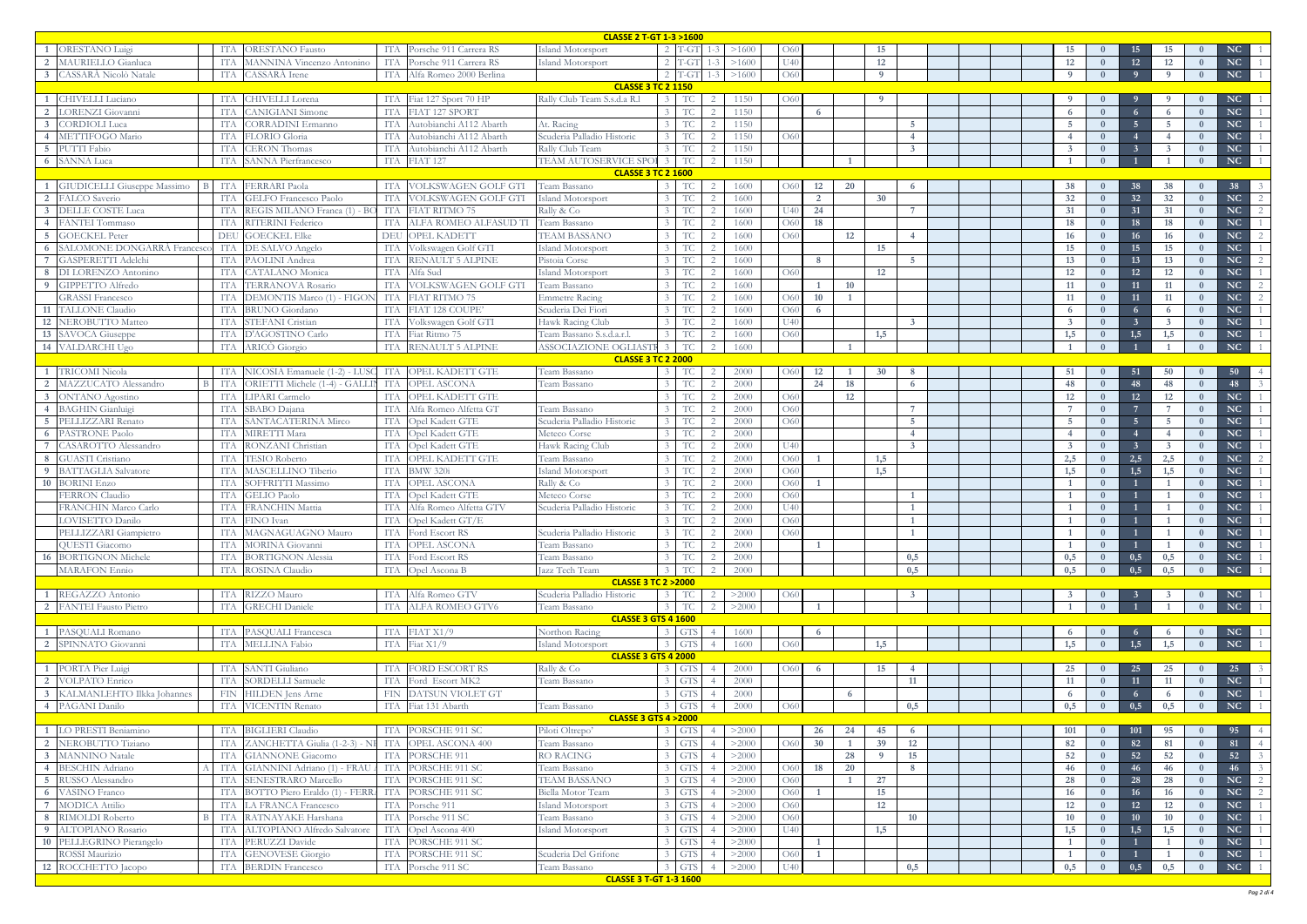|                                                         | <b>CLASSE 2 T-GT 1-3 &gt;1600</b><br>$2$ T-GT                   |                   |                                                    |                                                  |                         |                |                   |                |                                      |  |  |  |                         |                |                |                |                |                        |                                  |
|---------------------------------------------------------|-----------------------------------------------------------------|-------------------|----------------------------------------------------|--------------------------------------------------|-------------------------|----------------|-------------------|----------------|--------------------------------------|--|--|--|-------------------------|----------------|----------------|----------------|----------------|------------------------|----------------------------------|
| <b>ORESTANO</b> Luigi                                   | <b>ORESTANO</b> Fausto<br>ITA                                   | ITA               | Porsche 911 Carrera RS                             | Island Motorsport                                |                         | >1600          | O6(               |                |                                      |  |  |  |                         |                |                |                |                | NC                     |                                  |
| <b>MAURIELLO</b> Gianluca                               | <b>MANNINA Vincenzo Antonino</b><br>TТA                         | ITA               | Porsche 911 Carrera RS                             | Island Motorsport                                | $T-G$                   | >1600          | I <sup>T</sup> 4( |                | 12                                   |  |  |  | 12                      | $\overline{0}$ | 12             | <b>12</b>      |                | NC                     |                                  |
| CASSARÀ Nicolò Natale                                   | CASSARA Irene<br>ITA                                            | ITA               | Alfa Romeo 2000 Berlina                            |                                                  | $2$ T-GT<br>$1 - 3$     | >1600          | O60               |                | $\overline{9}$                       |  |  |  | $\Omega$                | $\overline{0}$ | $\overline{9}$ | $\overline{9}$ | $\Omega$       | NC                     |                                  |
|                                                         |                                                                 |                   |                                                    | <b>CLASSE 3 TC 2 1150</b>                        |                         |                |                   |                |                                      |  |  |  |                         |                |                |                |                |                        |                                  |
| CHIVELLI Luciano                                        | CHIVELLI Lorena<br><b>TTA</b>                                   | <b>ITA</b>        | Fiat 127 Sport 70 HP                               | Rally Club Team S.s.d.a R.1                      | <b>TC</b>               | 1150           | 061               |                |                                      |  |  |  |                         |                |                |                |                | NC                     |                                  |
| <b>LORENZI</b> Giovanni                                 | <b>CANIGIANI</b> Simone<br><b>ITA</b>                           | ITA               | FIAT 127 SPORT                                     |                                                  | TC                      | 1150           |                   | 6              |                                      |  |  |  | 6                       | $\theta$       | - 6            | -6             |                | <b>NC</b>              |                                  |
| CORDIOLI Luca                                           | CORRADINI Ermanno<br>IT/                                        | <b>ITA</b>        | Autobianchi A112 Abarth                            | At. Racing                                       | TС                      | 1150           |                   |                | 5 <sup>1</sup><br>$\mathbf{\Lambda}$ |  |  |  |                         |                | - 5            |                |                | <b>NC</b>              |                                  |
| <b>METTIFOGO Mario</b><br>PUTTI Fabio                   | <b>FLORIO Gloria</b><br>TТA<br><b>CERON Thomas</b>              | ITA<br>ITA        | Autobianchi A112 Abarth<br>Autobianchi A112 Abarth | Scuderia Palladio Historic<br>Rally Club Team    |                         | 1150           | O60               |                | $\mathbf{3}$                         |  |  |  |                         |                |                |                |                | <b>NC</b><br><b>NC</b> |                                  |
| <b>SANNA Luca</b>                                       | ITA<br>SANNA Pierfrancesco<br>ITA                               | ITA               | <b>FIAT 127</b>                                    | TEAM AUTOSERVICE SPC<br>-3                       | <b>TC</b>               | 1150<br>1150   |                   |                |                                      |  |  |  |                         |                |                |                |                | <b>NC</b>              |                                  |
|                                                         |                                                                 |                   |                                                    | <b>CLASSE 3 TC 2 1600</b>                        |                         |                |                   |                |                                      |  |  |  |                         |                |                |                |                |                        |                                  |
| <b>GIUDICELLI Giuseppe Massimo</b><br>$\overline{B}$    | <b>FERRARI</b> Paola<br>ITA                                     | <b>ITA</b>        | VOLKSWAGEN GOLF GTI                                | Team Bassano                                     | TС                      | 1600           | O6                | 12<br>20       | 6                                    |  |  |  | 38                      |                | 38             | 38             |                | 38                     |                                  |
| ALCO Saverio                                            | ITA<br><b>GELFO</b> Francesco Paolo                             | <b>ITA</b>        | VOLKSWAGEN GOLF GTI                                | <b>Island Motorsport</b>                         | TС                      | 1600           |                   | $\overline{2}$ | 30                                   |  |  |  | 32                      | $\Omega$       | 32             | 32             | $\Omega$       | <b>NC</b>              | 2                                |
| <b>DELLE COSTE Luca</b>                                 | REGIS MILANO Franca (1) -<br><b>ITA</b>                         | - ITA             | <b>FIAT RITMO 75</b>                               | Rally & Co                                       | - TC                    | 1600           |                   | 24             |                                      |  |  |  | 31                      | $\bf{0}$       | 31             | 31             | $\mathbf{0}$   | NC                     | $\overline{2}$                   |
| <b>ANTEI Tommaso</b>                                    | RITERINI Federico<br>ITA                                        | <b>ITA</b>        | ALFA ROMEO ALFASUD TI                              | Team Bassano                                     | TC                      | 1600           | O <sub>6</sub>    | 18             |                                      |  |  |  | 18                      | $\Omega$       | 18             | <b>18</b>      | $\overline{0}$ | <b>NC</b>              | $\overline{1}$                   |
| <b>GOECKEL Peter</b>                                    | DEU<br><b>GOECKEL Elke</b>                                      | DEU               | OPEL KADETT                                        | <b>TEAM BASSANO</b>                              | TС                      | 1600           | O60               | 12             | $\overline{4}$                       |  |  |  | 16                      | $\Omega$       | 16             | 16             |                | <b>NC</b>              | $\overline{2}$                   |
| SALOMONE DONGARRÀ Francesco                             | ITA<br>DE SALVO Angelo                                          | ITA               | Volkswagen Golf GTI                                | Island Motorsport                                | TС                      | 1600           |                   |                | 15                                   |  |  |  | 15                      | $\Omega$       | 15             | 15             |                | <b>NC</b>              | $\overline{1}$                   |
| GASPERETTI Adelchi                                      | <b>PAOLINI</b> Andrea<br>ITA                                    | ITA               | <b>RENAULT 5 ALPINE</b>                            | Pistoia Corse                                    |                         | 1600           |                   | -8             | 5 <sup>1</sup>                       |  |  |  | 13                      | $\theta$       | 13             | 13             |                | NC                     | 2                                |
| DI LORENZO Antonino<br>-8                               | <b>CATALANO</b> Monica<br>ITA                                   | ITA               | Alfa Sud                                           | Island Motorsport                                | TC                      | 1600           | O6(               |                | 12                                   |  |  |  | 12                      | $\overline{0}$ | 12             | 12             | $\overline{0}$ | NC                     | <sup>1</sup>                     |
| GIPPETTO Alfredo<br>$\Omega$                            | <b>TERRANOVA Rosario</b><br>ITA                                 | <b>ITA</b>        | VOLKSWAGEN GOLF GTI                                | Team Bassano                                     | TС                      | 1600           |                   | 10             |                                      |  |  |  | 11                      | $\Omega$       | 11             | 11             |                | NC                     | $\overline{2}$                   |
| <b>GRASSI</b> Francesco                                 | DEMONTIS Marco (1) - FIGOI<br>ITA                               | ITA               | <b>FIAT RITMO 75</b>                               | Emmetre Racing                                   | TС                      | 1600           | O6(               | 10             |                                      |  |  |  | -11                     | $\mathbf{0}$   | 11             | 11             | $\Omega$       | <b>NC</b>              | $\overline{2}$                   |
| <b>TALLONE</b> Claudio                                  | <b>ITA</b><br><b>BRUNO</b> Giordano                             | <b>ITA</b>        | FIAT 128 COUPE'                                    | Scuderia Dei Fiori                               | TC                      | 1600           | O6(               | -6             |                                      |  |  |  | -6                      | $\theta$       | - 6            | -6             | $\overline{0}$ | NC                     | <sup>1</sup>                     |
| NEROBUTTO Matteo                                        | STEFANI Cristian<br>ITA                                         | ITA               | Volkswagen Golf GTI                                | Hawk Racing Club                                 | TC                      | 1600           |                   |                | 3 <sup>1</sup>                       |  |  |  | $\overline{\mathbf{3}}$ | $\theta$       |                | 3              | $\bf{0}$       | NC                     |                                  |
| SAVOCA Giuseppe<br><b>13</b>                            | D'AGOSTINO Carlo<br>ITA                                         | ITA               | Fiat Ritmo 75                                      | Team Bassano S.s.d.a.r.l<br>ASSOCIAZIONE OGLIAST | TC                      | 1600           | O60               |                | 1,5                                  |  |  |  | 1,5                     | $\theta$       | 1,5            | 1,5            |                | <b>NC</b>              |                                  |
| VALDARCHI Ugo<br>14                                     | <b>ARICO</b> Giorgio<br>ITA                                     | <b>ITA</b>        | RENAULT 5 ALPINE                                   | -3<br><b>CLASSE 3 TC 2 2000</b>                  | TC                      | 1600           |                   |                |                                      |  |  |  |                         |                |                |                |                | <b>NC</b>              |                                  |
| <b>TRICOMI Nicola</b>                                   | NICOSIA Emanuele (1-2) - LUSC ITA<br>ITA                        |                   | <b>OPEL KADETT GTE</b>                             | Team Bassano                                     | $3$ TC<br>$\mathcal{L}$ | 2000           | O <sub>6</sub>    | 12             | 30<br>8                              |  |  |  | 51                      | $\theta$       | 51             | 50             | $\overline{0}$ | 50                     |                                  |
| MAZZUCATO Alessandro                                    | ORIETTI Michele (1-4) - GALLIN<br>B ITA                         | ITA               | <b>OPEL ASCONA</b>                                 | Team Bassano                                     | TC                      | 2000           |                   | 24<br>18       | 6                                    |  |  |  | 48                      | $\overline{0}$ | 48             | 48             | $\Omega$       | 48                     | $\mathcal{Z}$                    |
| <b>ONTANO</b> Agostino                                  | <b>ITA</b><br>LIPARI Carmelo                                    | <b>ITA</b>        | OPEL KADETT GTE                                    |                                                  | TC                      | 2000           | O60               | 12             |                                      |  |  |  | 12                      | $\Omega$       | 12             | 12             | $\Omega$       | <b>NC</b>              |                                  |
| <b>BAGHIN</b> Gianluigi                                 | SBABO Dajana<br>ITA                                             | <b>ITA</b>        | Alfa Romeo Alfetta GT                              | Team Bassano                                     | TС                      | 2000           | O60               |                |                                      |  |  |  |                         | $\mathbf{0}$   |                |                | $\Omega$       | <b>NC</b>              |                                  |
| PELLIZZARI Renato                                       | SANTACATERINA Mirco<br><b>TTA</b>                               | <b>ITA</b>        | Opel Kadett GTE                                    | Scuderia Palladio Historic                       | - TC                    | 2000           | O60               |                | 5 <sup>5</sup>                       |  |  |  | -5                      | $\theta$       | 5 <sub>5</sub> | $5^{\circ}$    | $\mathbf{0}$   | NC                     |                                  |
| <b>PASTRONE Paolo</b>                                   | MIRETTI Mara<br>ITA                                             | ITA               | Opel Kadett GTE                                    | Meteco Corse                                     | - TC                    | 2000           |                   |                | $\overline{4}$                       |  |  |  |                         | $\theta$       |                |                |                | <b>NC</b>              |                                  |
| CASAROTTO Alessandro                                    | RONZANI Christian<br>ITA                                        | <b>ITA</b>        | Opel Kadett GTE                                    | Hawk Racing Club                                 | TC                      | 2000           |                   |                | $\overline{3}$                       |  |  |  | -3                      | $\Omega$       | -3             |                |                | <b>NC</b>              |                                  |
| GUASTI Cristiano                                        | <b>TESIO Roberto</b><br>ITA                                     | ITA               | OPEL KADETT GTE                                    | Team Bassano                                     | TC                      | 2000           | O60               |                | 1,5                                  |  |  |  | 2,5                     |                | 2,5            | 2,5            |                | <b>NC</b>              | 2                                |
| <b>BATTAGLIA</b> Salvatore<br>- 9                       | MASCELLINO Tiberio<br>ITA                                       | ITA               | <b>BMW 320i</b>                                    | Island Motorsport                                | <b>TC</b>               | 2000           | O6(               |                | 1,5                                  |  |  |  | 1,5                     | $\overline{0}$ | 1,5            | 1,5            |                | NC                     |                                  |
| <b>BORINI</b> Enzo<br>10                                | SOFFRITTI Massimo<br>ITA                                        | ITA               | <b>OPEL ASCONA</b>                                 | Rally & Co                                       | $3 \mid TC$             | 2000           | O60               |                |                                      |  |  |  |                         | $\overline{0}$ |                |                |                | <b>NC</b>              |                                  |
| <b>FERRON</b> Claudio                                   | GELIO Paolo<br>ITA                                              | ITA               | Opel Kadett GTE                                    | Meteco Corse                                     | $3$ TC                  | 2000           | O60               |                |                                      |  |  |  |                         | $\overline{0}$ |                |                |                | <b>NC</b>              | -1                               |
| <b>FRANCHIN Marco Carlo</b>                             | <b>FRANCHIN Mattia</b><br>ITA                                   | ITA               | Alfa Romeo Alfetta GTV                             | Scuderia Palladio Historic<br>$3-1$              | TC                      | 2000           | U40               |                |                                      |  |  |  |                         | $\mathbf{0}$   |                |                |                | <b>NC</b>              |                                  |
| LOVISETTO Danilo                                        | ITA FINO Ivan                                                   |                   | ITA Opel Kadett GT/E                               |                                                  | $3$ TC<br>$\mathcal{D}$ | 2000           | O60               |                |                                      |  |  |  |                         | $\bf{0}$       |                |                | $\bf{0}$       | NC                     |                                  |
| PELLIZZARI Giampietro                                   | MAGNAGUAGNO Mauro<br>ITA                                        | ITA               | Ford Escort RS                                     | Scuderia Palladio Historic                       | $3$ TC<br>$\mathcal{L}$ | 2000           | O60               |                |                                      |  |  |  |                         | $\bf{0}$       |                |                | $\bf{0}$       | NC                     |                                  |
| <b>QUESTI Giacomo</b>                                   | MORINA Giovanni<br>ITA                                          | ITA               | <b>OPEL ASCONA</b>                                 | Feam Bassano                                     | $3$ TC<br>$\mathcal{L}$ | 2000           |                   |                |                                      |  |  |  |                         |                |                |                |                | NC                     | $\overline{1}$                   |
| <b>BORTIGNON Michele</b><br>-16<br><b>MARAFON Ennio</b> | <b>BORTIGNON Alessia</b><br>ITA<br>ROSINA Claudio<br><b>TTA</b> | ITA<br><b>ITA</b> | Ford Escort RS                                     | Team Bassano<br>Jazz Tech Team                   | $3$ TC<br>$3 \mid TC$   | 2000<br>2000   |                   |                | 0,5<br>0,5                           |  |  |  | 0,5<br>0.5              |                | 0,5<br>0,5     | 0,5<br>0,5     | $\theta$       | NC<br>NC               | $\overline{1}$<br>$\overline{1}$ |
|                                                         |                                                                 |                   | Opel Ascona B                                      | <b>CLASSE 3 TC 2 &gt; 2000</b>                   |                         |                |                   |                |                                      |  |  |  |                         |                |                |                |                |                        |                                  |
| REGAZZO Antonio                                         | RIZZO Mauro<br>ITA                                              | ITA               | Alfa Romeo GTV                                     | Scuderia Palladio Historic                       | $3$ TC<br>$\mathcal{L}$ | >2000          | O60               |                |                                      |  |  |  |                         |                |                |                |                | NC                     | $\overline{1}$                   |
| ANTEI Fausto Pietro                                     | <b>GRECHI</b> Daniele<br><b>ITA</b>                             | <b>ITA</b>        | <b>ALFA ROMEO GTV6</b>                             | Team Bassano                                     | $3$ TC                  | >2000          |                   |                |                                      |  |  |  |                         | $\Omega$       |                |                |                | NC                     |                                  |
|                                                         |                                                                 |                   |                                                    | <b>CLASSE 3 GTS 4 1600</b>                       |                         |                |                   |                |                                      |  |  |  |                         |                |                |                |                |                        |                                  |
| PASQUALI Romano                                         | PASQUALI Francesca<br>ITA                                       |                   | ITA FIAT X1/9                                      | Northon Racing                                   | $3$ GTS                 | 1600           |                   | 6              |                                      |  |  |  |                         |                |                |                |                | NC                     | $\overline{1}$                   |
| SPINNATO Giovanni                                       | MELLINA Fabio<br><b>ITA</b>                                     | <b>ITA</b>        | Fiat $X1/9$                                        | Island Motorsport                                | 3 GTS                   | 1600           | O60               |                | 1,5                                  |  |  |  | 1,5                     | $\bf{0}$       | 1,5            | 1,5            |                | NC                     |                                  |
|                                                         |                                                                 |                   |                                                    | <b>CLASSE 3 GTS 4 2000</b>                       |                         |                |                   |                |                                      |  |  |  |                         |                |                |                |                |                        |                                  |
| PORTA Pier Luigi                                        | SANTI Giuliano<br>ITA                                           | ITA               | <b>FORD ESCORT RS</b>                              | Rally & Co                                       | 3 GTS                   | 2000           | O60               | 6              | 15<br>4                              |  |  |  | 25                      |                | 25             | 25             |                | 25                     | $\overline{3}$                   |
| VOLPATO Enrico                                          | SORDELLI Samuele<br>ITA                                         | ITA               | Ford Escort MK2                                    | Team Bassano                                     | 3 GTS                   | 2000           |                   |                | 11                                   |  |  |  | 11                      | $\bf{0}$       | 11             | 11             |                | NC                     |                                  |
| KALMANLEHTO Ilkka Johannes                              | HILDEN Jens Arne<br>FIN                                         | FIN               | DATSUN VIOLET GT                                   |                                                  | $3$ GTS                 | 2000           |                   | 6              |                                      |  |  |  | -6                      | $\bf{0}$       | 6              | 6              | $\bf{0}$       | NC                     | $\overline{1}$                   |
| PAGANI Danilo                                           | <b>VICENTIN Renato</b><br>ITA                                   | <b>ITA</b>        | Fiat 131 Abarth                                    | Team Bassano                                     | 3 GTS                   | 2000           | O60               |                | 0,5                                  |  |  |  | 0,5                     | $\bf{0}$       | 0,5            | 0,5            | $\bf{0}$       | NC                     | $\overline{1}$                   |
|                                                         |                                                                 |                   |                                                    | <b>CLASSE 3 GTS 4 &gt; 2000</b>                  |                         |                |                   |                |                                      |  |  |  |                         |                |                |                |                |                        |                                  |
| LO PRESTI Beniamino                                     | <b>BIGLIERI</b> Claudio                                         | ITA               | PORSCHE 911 SC                                     | Piloti Oltrepo'                                  | 3 GTS                   | >2000          |                   | 26<br>24       | 45<br>-6                             |  |  |  | 101                     | $\theta$       | 101            | 95             |                | 95                     | $\overline{4}$                   |
| NEROBUTTO Tiziano<br><b>MANNINO</b> Natale              | ZANCHETTA Giulia (1-2-3) - I<br>ITA<br><b>GIANNONE</b> Giacomo  | ITA<br>ITA        | OPEL ASCONA 400<br>PORSCHE 911                     | Team Bassano<br>RO RACING                        | 3 GTS<br>GTS            | >2000<br>>2000 | O <sub>6</sub>    | 30             | 39<br>12<br>-9<br>15                 |  |  |  | 82                      | $\overline{0}$ | 82<br>52       | 81             | $\overline{0}$ | 81<br>52               | $\overline{4}$<br>$\mathbf{3}$   |
| <b>BESCHIN Adriano</b>                                  | ITA<br>GIANNINI Adriano (1) - FRAU<br>ITA                       | ITA               | PORSCHE 911 SC                                     | Team Bassano                                     | GTS                     | >2000          | O60               | 28<br>20<br>18 | 8                                    |  |  |  | 52<br>46                | $\bf{0}$       | 46             | 52<br>46       |                | 46                     | $\overline{3}$                   |
| RUSSO Alessandro                                        | SENESTRARO Marcello<br><b>ITA</b>                               | ITA               | PORSCHE 911 SC                                     | <b>TEAM BASSANO</b>                              | GTS                     | >2000          | O <sub>6</sub>    |                | 27                                   |  |  |  | 28                      | $\overline{0}$ | 28             | 28             | $\mathbf{0}$   | NC                     | $\overline{2}$                   |
| <b>VASINO</b> Franco<br>-6                              | BOTTO Piero Eraldo (1) - FERRA ITA<br>ITA                       |                   | PORSCHE 911 SC                                     | Biella Motor Team                                | 3 GTS                   | >2000          | O60               |                | 15                                   |  |  |  | 16                      | $\overline{0}$ | 16             | 16             | $\mathbf{0}$   | NC                     | $\overline{2}$                   |
| <b>MODICA Attilio</b>                                   | <b>LA FRANCA Francesco</b><br>ITA                               | ITA               | Porsche 911                                        | Island Motorsport                                | $3$ GTS                 | >2000          | O60               |                | 12                                   |  |  |  | 12                      | $\overline{0}$ | 12             | 12             | $\bf{0}$       | NC                     | $\overline{1}$                   |
| RIMOLDI Roberto<br>B I                                  | RATNAYAKE Harshana<br>ITA                                       | ITA               | Porsche 911 SC                                     | Team Bassano                                     | 3 GTS                   | >2000          | O60               |                | 10                                   |  |  |  | 10                      | $\mathbf{0}$   | 10             | 10             | $\overline{0}$ | NC                     | $\overline{1}$                   |
| ALTOPIANO Rosario                                       | ALTOPIANO Alfredo Salvatore<br>ITA                              | ITA               | Opel Ascona 400                                    | Island Motorsport                                | 3 GTS                   | >2000          |                   |                | 1,5                                  |  |  |  | 1,5                     | $\mathbf{0}$   | 1,5            | 1,5            | $\bf{0}$       | NC                     | $\overline{1}$                   |
| PELLEGRINO Pierangelo                                   | PERUZZI Davide<br>ITA                                           | ITA               | PORSCHE 911 SC                                     |                                                  | 3 GTS                   | >2000          |                   | $\overline{1}$ |                                      |  |  |  |                         | $\bf{0}$       |                |                | $\bf{0}$       | NC                     | $\overline{1}$                   |
| <b>ROSSI Maurizio</b>                                   | <b>GENOVESE</b> Giorgio<br><b>ITA</b>                           | <b>ITA</b>        | PORSCHE 911 SC                                     | Scuderia Del Grifone                             | 3 GTS                   | >2000          | O60               |                |                                      |  |  |  |                         |                |                |                |                | NC                     | $\overline{1}$                   |
| ROCCHETTO Jacopo<br>12                                  | <b>BERDIN Francesco</b><br>TT A                                 | ITA               | Porsche 911 SC                                     | Feam Bassano                                     | 3 GTS                   | >2000          |                   |                | 0,5                                  |  |  |  | 0,5                     |                | 0,5            | 0,5            |                | NC                     |                                  |
|                                                         |                                                                 |                   |                                                    | <b>CLASSE 3 T-GT 1-3 1600</b>                    |                         |                |                   |                |                                      |  |  |  |                         |                |                |                |                |                        |                                  |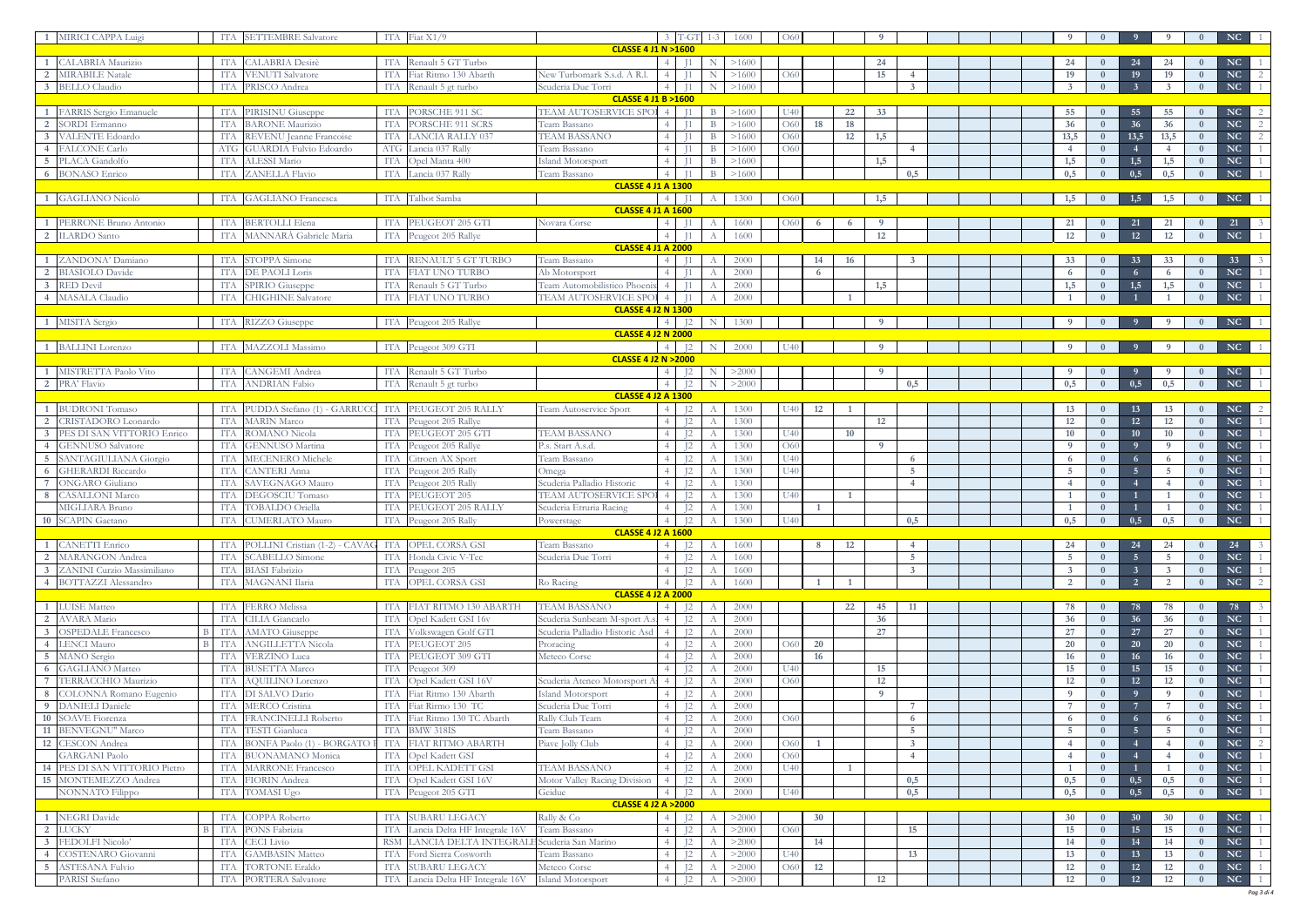| MIRICI CAPPA Luigi                                     |                   | ITA SETTEMBRE Salvatore                                  |            | ITA Fiat $X1/9$                             |                                                            | $3$ T-GT                         | 1-3          | 1600         | . O6                  |    |                |                |  |                   |                            |                      |                      | NC                                                                                               |            |
|--------------------------------------------------------|-------------------|----------------------------------------------------------|------------|---------------------------------------------|------------------------------------------------------------|----------------------------------|--------------|--------------|-----------------------|----|----------------|----------------|--|-------------------|----------------------------|----------------------|----------------------|--------------------------------------------------------------------------------------------------|------------|
|                                                        |                   |                                                          |            |                                             | <b>CLASSE 4 J1 N &gt;1600</b>                              |                                  |              |              |                       |    |                |                |  |                   |                            |                      |                      |                                                                                                  |            |
| CALABRIA Maurizio                                      |                   | <b>CALABRIA</b> Desirè                                   | ITA        | Renault 5 GT Turbo                          |                                                            |                                  |              | >1600        |                       |    | 24             |                |  | 24                |                            |                      | 24                   | NC                                                                                               |            |
| <b>MIRABILE Natale</b>                                 | TT A              | <b>VENUTI</b> Salvatore                                  | <b>ITA</b> | Fiat Ritmo 130 Abarth                       | New Turbomark S.s.d. A R.1<br>Scuderia Due Torri           |                                  |              | >1600        | O <sub>6</sub>        |    | 15             |                |  | 19                | $\overline{0}$<br>$\Omega$ | 19<br>$\overline{3}$ | 19<br>$\overline{3}$ | NC<br>$\bf{0}$<br>NC                                                                             |            |
| <b>BELLO</b> Claudio                                   | ITA               | PRISCO Andrea                                            | <b>ITA</b> | Renault 5 gt turbo                          | <b>CLASSE 4 J1 B &gt;1600</b>                              |                                  |              | >1600        |                       |    |                |                |  |                   |                            |                      |                      | $\mathbf{0}$                                                                                     |            |
| FARRIS Sergio Emanuele                                 | ITA               | PIRISINU Giuseppe                                        | ITA        | PORSCHE 911 SC                              | TEAM AUTOSERVICE SPOI<br>$\overline{4}$                    |                                  |              | >1600        |                       |    | 22<br>33       |                |  | 55                |                            | 55                   | 55                   | NC<br>$\Omega$                                                                                   |            |
| SORDI Ermanno                                          | ITA               | <b>BARONE</b> Maurizio                                   | <b>ITA</b> | PORSCHE 911 SCRS                            | Team Bassano                                               |                                  |              | >1600        | O <sub>6</sub>        | 18 | 18             |                |  | 36                | $\mathbf{0}$               | 36                   | 36                   | NC<br>$\mathbf{0}$                                                                               |            |
| <b>VALENTE Edoardo</b>                                 | ITA               | REVENU Jeanne Francoise                                  | ITA        | LANCIA RALLY 037                            | <b>TEAM BASSANO</b>                                        |                                  |              | >1600        | O <sub>6</sub>        |    | 1,5<br>12      |                |  | 13,5              | $\bf{0}$                   | 13,5                 | 13,5                 | NC<br>$\bf{0}$                                                                                   |            |
| <b>ALCONE Carlo</b>                                    | ATG               | <b>GUARDIA Fulvio Edoardo</b>                            | ATG        | Lancia 037 Rally                            | Team Bassano                                               |                                  | <sup>R</sup> | >1600        | O60                   |    |                |                |  |                   | $\mathbf{0}$               |                      | $\overline{4}$       | NC<br>$\mathbf{0}$                                                                               |            |
| PLACA Gandolfo                                         | ITA               | ALESSI Mario                                             | <b>ITA</b> | Opel Manta 400                              | Island Motorsport<br>$\overline{4}$                        |                                  | <sup>R</sup> | >1600        |                       |    | 1,5            |                |  | 1,5               | $\bf{0}$                   | 1,5                  | 1,5                  | <b>NC</b><br>$\bf{0}$                                                                            |            |
| <b>BONASO Enrico</b>                                   |                   | ITA ZANELLA Flavio                                       |            | ITA Lancia 037 Rally                        | Team Bassano<br>4 <sup>1</sup>                             |                                  | B            | >1600        |                       |    |                | 0,5            |  | 0,5               | $\overline{0}$             | 0,5                  | 0,5                  | NC<br>$\bf{0}$                                                                                   |            |
|                                                        |                   |                                                          |            |                                             | <b>CLASSE 4 J1 A 1300</b>                                  |                                  |              |              |                       |    |                |                |  |                   |                            |                      |                      |                                                                                                  |            |
| <b>GAGLIANO Nicolò</b>                                 |                   | ITA GAGLIANO Francesca                                   |            | ITA Talbot Samba                            | 4 <sup>1</sup><br><b>CLASSE 4 J1 A 1600</b>                |                                  | A            | 1300         | <sup>O60</sup>        |    | 1,5            |                |  | 1,5               |                            | 1,5                  | 1,5                  | $\bf{0}$                                                                                         | $NC-1$     |
| PERRONE Bruno Antonio                                  | ITA               | <b>BERTOLLI Elena</b>                                    | ITA        | PEUGEOT 205 GTI                             | Novara Corse                                               |                                  |              | 1600         | - O60                 |    |                |                |  | 21                |                            |                      |                      | 21                                                                                               |            |
| <b>ILARDO</b> Santo                                    | TT A              | MANNARÀ Gabriele Maria                                   | ITA        | Peugeot 205 Rallye                          | $\overline{4}$                                             |                                  |              | 1600         |                       |    | 12             |                |  | 12                |                            | 12                   | <b>12</b>            | NC                                                                                               |            |
|                                                        |                   |                                                          |            |                                             | <b>CLASSE 4 J1 A 2000</b>                                  |                                  |              |              |                       |    |                |                |  |                   |                            |                      |                      |                                                                                                  |            |
| ZANDONA' Damiano                                       | ITA               | STOPPA Simone                                            | <b>ITA</b> | RENAULT 5 GT TURBO                          | Team Bassano<br>$\sim$ 4                                   |                                  |              | 2000         |                       | 14 | 16             |                |  | 33                |                            | 33                   | 33                   | 33<br>$\bf{0}$                                                                                   |            |
| <b>BIASIOLO Davide</b>                                 | ITA               | DE PAOLI Loris                                           | <b>ITA</b> | <b>FIAT UNO TURBO</b>                       | Ab Motorsport                                              |                                  |              | 2000         |                       | 6  |                |                |  | -6                | $\Omega$                   |                      |                      | NC<br>$\mathbf{0}$                                                                               |            |
| <b>RED</b> Devil                                       | ITA               | SPIRIO Giuseppe                                          | <b>ITA</b> | Renault 5 GT Turbo                          | Team Automobilistico Phoenix<br>4                          |                                  |              | 2000         |                       |    | 1,5            |                |  | 1,5               | $\bf{0}$                   | 1,5                  | 1,5                  | NC<br>$\bf{0}$                                                                                   |            |
| MASALA Claudio                                         | TT A              | <b>CHIGHINE Salvatore</b>                                | <b>ITA</b> | FIAT UNO TURBO                              | TEAM AUTOSERVICE SPOI                                      |                                  |              | 2000         |                       |    |                |                |  |                   |                            |                      |                      | NC<br>$\mathbf{0}$                                                                               |            |
| MISITA Sergio                                          |                   | ITA RIZZO Giuseppe                                       |            | ITA Peugeot 205 Rallye                      | <b>CLASSE 4 J2 N 1300</b>                                  | 12                               | N            | 1300         |                       |    |                |                |  |                   |                            |                      |                      | NC                                                                                               |            |
|                                                        |                   |                                                          |            |                                             | <b>CLASSE 4 J2 N 2000</b>                                  |                                  |              |              |                       |    |                |                |  |                   |                            |                      |                      |                                                                                                  |            |
| <b>BALLINI</b> Lorenzo                                 |                   | ITA MAZZOLI Massimo                                      |            | ITA Peugeot 309 GTI                         | 4 <sup>1</sup>                                             | $\overline{12}$                  | N            | 2000         |                       |    |                |                |  |                   |                            |                      |                      | NC                                                                                               |            |
|                                                        |                   |                                                          |            |                                             | <b>CLASSE 4 J2 N &gt; 2000</b>                             |                                  |              |              |                       |    |                |                |  |                   |                            |                      |                      |                                                                                                  |            |
| MISTRETTA Paolo Vito                                   | ITA               | <b>CANGEMI</b> Andrea                                    |            | ITA Renault 5 GT Turbo                      | 4 I                                                        | 12                               | N            | >2000        |                       |    |                |                |  |                   |                            |                      |                      | NC                                                                                               |            |
| PRA' Flavio                                            | - ITA             | <b>ANDRIAN Fabio</b>                                     |            | ITA Renault 5 gt turbo                      |                                                            | $\overline{12}$                  | N            | >2000        |                       |    |                | 0.5            |  | 0,5               | $\mathbf{0}$               | 0,5                  | 0,5                  | NC<br>$\overline{0}$                                                                             |            |
|                                                        |                   |                                                          |            |                                             | <b>CLASSE 4 J2 A 1300</b>                                  |                                  |              |              |                       |    |                |                |  |                   |                            |                      |                      |                                                                                                  |            |
| <b>BUDRONI</b> Tomaso                                  | TT A              | PUDDA Stefano (1) - GARRUCO                              | <b>ITA</b> | PEUGEOT 205 RALLY                           | Team Autoservice Sport                                     | 12                               |              | 1300         |                       | 12 |                |                |  | 13                |                            | 13                   | 13                   | NC<br>$\bf{0}$                                                                                   |            |
| <b>CRISTADORO</b> Leonardo                             | ITA               | <b>MARIN Marco</b><br><b>ROMANO</b> Nicola               | ITA        | Peugeot 205 Rallye<br>PEUGEOT 205 GTI       |                                                            | $\overline{12}$                  |              | 1300         |                       |    | 12<br>10       |                |  | 12                | $\overline{0}$             | 12<br>10             | 12<br>10             | <b>NC</b><br>$\bf{0}$<br>NC                                                                      |            |
| PES DI SAN VITTORIO Enrico<br><b>GENNUSO</b> Salvatore | ITA<br>ITA        | <b>GENNUSO</b> Martina                                   | ITA<br>ITA | Peugeot 205 Rallye                          | <b>TEAM BASSANO</b><br>P.s. Start A.s.d.                   | 12<br>$\overline{12}$            |              | 1300<br>1300 | U40<br>O <sub>6</sub> |    | $\overline{9}$ |                |  | 10<br>- 9         | $\bf{0}$<br>$\overline{0}$ | $\overline{9}$       | -9                   | $\bf{0}$<br>NC<br>$\mathbf{0}$                                                                   |            |
| SANTAGIULIANA Giorgio                                  | ITA               | <b>MECENERO</b> Michele                                  | ITA        | Citroen AX Sport                            | Team Bassano                                               | 12                               |              | 1300         | U40                   |    |                | 6              |  | 6                 | $\mathbf{0}$               |                      | -6                   | <b>NC</b><br>$\mathbf{0}$                                                                        |            |
| <b>GHERARDI Riccardo</b>                               | IT A              | CANTERI Anna                                             | <b>ITA</b> | Peugeot 205 Rally                           | Omega                                                      | 12                               |              | 1300         | U J 40                |    |                | -5             |  | -5                | $\overline{0}$             | $\overline{5}$       | 5 <sup>5</sup>       | NC<br>$\mathbf{0}$                                                                               |            |
| <b>ONGARO</b> Giuliano                                 |                   | SAVEGNAGO Mauro                                          | ITA        | Peugeot 205 Rally                           | Scuderia Palladio Historic                                 | 12                               |              | 1300         |                       |    |                |                |  |                   | $\overline{0}$             |                      | $\overline{4}$       | NC<br>$\mathbf{0}$                                                                               |            |
| <b>ASALLONI Marco</b>                                  | TT/               | DEGOSCIU Tomaso                                          | <b>ITA</b> | PEUGEOT <sub>205</sub>                      | TEAM AUTOSERVICE SPC                                       | 12                               |              | 1300         | 114                   |    |                |                |  |                   | $\overline{0}$             |                      |                      | <b>NC</b><br>$\theta$                                                                            |            |
| ⁄IIGLIARA Bruno                                        | ITA               | TOBALDO Oriella                                          | <b>ITA</b> | PEUGEOT 205 RALLY                           | Scuderia Etruria Racing                                    | 12                               |              | 1300         |                       |    |                |                |  |                   | $\bf{0}$                   |                      |                      | NC<br>$\mathbf{0}$                                                                               |            |
| 10 SCAPIN Gaetano                                      |                   | ITA CUMERLATO Mauro                                      |            | ITA Peugeot 205 Rally                       | Powerstage                                                 |                                  |              | 4 J2 A 1300  | U40                   |    |                | 0,5            |  |                   |                            |                      |                      | $\begin{array}{ c c c c c c c c } \hline 0.5 & 0 & 0.5 & 0 & \text{NC} & 1 \ \hline \end{array}$ |            |
|                                                        |                   |                                                          |            |                                             | <b>CLASSE 4 J2 A 1600</b>                                  |                                  |              |              |                       |    |                |                |  |                   |                            |                      |                      |                                                                                                  |            |
| <b>CANETTI Enrico</b><br><b>MARANGON</b> Andrea        | <b>ITA</b><br>ITA | POLLINI Cristian (1-2) - CAVAC<br><b>SCABELLO</b> Simone |            | ITA OPEL CORSA GSI<br>ITA Honda Civic V-Tec | Team Bassano<br>Scuderia Due Torri                         | $\overline{12}$<br>$\mathbb{I}2$ |              | 1600<br>1600 |                       |    | 12             | 5 <sup>5</sup> |  | 24<br>$5^{\circ}$ | $\overline{0}$             | 24<br>5 <sup>5</sup> | 24<br>$5^{\circ}$    | 24<br>$\mathbf{0}$<br>NC<br>$\mathbf{0}$                                                         |            |
| ZANINI Curzio Massimiliano                             | <b>ITA</b>        | <b>BIASI</b> Fabrizio                                    |            | ITA Peugeot 205                             | $\vert$ 4 $\vert$                                          | $\overline{12}$                  |              | 1600         |                       |    |                | $\overline{3}$ |  | $\overline{3}$    | $\mathbf{0}$               | $\overline{3}$       | 3 <sup>3</sup>       | NC<br>$\bf{0}$                                                                                   |            |
| <b>BOTTAZZI</b> Alessandro                             |                   | ITA MAGNANI Ilaria                                       |            | ITA OPEL CORSA GSI                          | Ro Racing<br>4 <sup>1</sup>                                | $\overline{12}$                  | A            | 1600         |                       |    |                |                |  | 2                 | $\mathbf{0}$               | $\overline{2}$       | <sup>2</sup>         | NC<br>$\bf{0}$                                                                                   |            |
|                                                        |                   |                                                          |            |                                             | <b>CLASSE 4 J2 A 2000</b>                                  |                                  |              |              |                       |    |                |                |  |                   |                            |                      |                      |                                                                                                  |            |
| <b>LUISE</b> Matteo                                    | ITA               | <b>FERRO</b> Melissa                                     | ITA        | FIAT RITMO 130 ABARTH                       | <b>TEAM BASSANO</b>                                        | $\overline{12}$                  |              | 2000         |                       |    | 45<br>22       | 11             |  | 78                |                            |                      | 78                   | 78<br>$\bf{0}$                                                                                   |            |
| <b>AVARA</b> Mario                                     | ITA               | CILIA Giancarlo                                          | <b>ITA</b> | Opel Kadett GSI 16v                         | Scuderia Sunbeam M-sport A<br>$\overline{4}$               | $\overline{12}$                  |              | 2000         |                       |    | 36             |                |  | 36                | $\bf{0}$                   | 36                   | 36                   | NC<br>$\bf{0}$                                                                                   |            |
| <b>OSPEDALE Francesco</b>                              | B ITA             | <b>AMATO</b> Giuseppe                                    |            | ITA Volkswagen Golf GTI                     | Scuderia Palladio Historic Asd                             | $\mathbb{I}^2$                   |              | 2000         |                       |    | 27             |                |  | 27                | $\bf{0}$                   | 27                   | 27                   | NC<br>$\bf{0}$                                                                                   |            |
| <b>LENCI Mauro</b>                                     | B ITA             | <b>ANGILLETTA Nicola</b>                                 |            | ITA PEUGEOT 205                             | Proracing                                                  | $\overline{12}$                  |              | 2000         | O6(                   | 20 |                |                |  | 20                | $\bf{0}$                   | <b>20</b>            | 20                   | NC<br>$\bf{0}$                                                                                   |            |
| MANO Sergio<br>5 <sup>5</sup>                          | ITA               | <b>VERZINO Luca</b>                                      | ITA        | PEUGEOT 309 GTI                             | Meteco Corse<br>$\overline{4}$                             | $\mathsf{I}2$                    |              | 2000         |                       | 16 |                |                |  | 16                | $\overline{0}$             | 16                   | 16                   | NC<br>$\bf{0}$                                                                                   |            |
| <b>GAGLIANO</b> Matteo<br>-6<br>TERRACCHIO Maurizio    | ITA<br>ITA        | <b>BUSETTA Marco</b><br>AQUILINO Lorenzo                 | ITA        | ITA Peugeot 309<br>Opel Kadett GSI 16V      | Scuderia Ateneo Motorsport                                 | $\mathbb{I}2$<br>$\overline{12}$ |              | 2000<br>2000 | U4(<br>O60            |    | 15<br>12       |                |  | 15<br><b>12</b>   | $\bf{0}$<br>$\mathbf{0}$   | 15<br>12             | 15<br>12             | NC<br>$\bf{0}$<br>NC<br>$\mathbf{0}$                                                             |            |
| COLONNA Romano Eugenio                                 | ITA               | DI SALVO Dario                                           | ITA        | Fiat Ritmo 130 Abarth                       | Island Motorsport                                          | 12                               |              | 2000         |                       |    | -9             |                |  | -9                | $\mathbf{0}$               | $\overline{9}$       | $\overline{0}$       | NC<br>$\bf{0}$                                                                                   |            |
| <b>DANIELI</b> Daniele                                 | ITA               | MERCO Cristina                                           | <b>ITA</b> | Fiat Rirmo 130 TC                           | Scuderia Due Torri                                         | $\overline{12}$                  |              | 2000         |                       |    |                | $\overline{7}$ |  | $7\phantom{.0}$   | $\bf{0}$                   |                      |                      | NC<br>$\bf{0}$                                                                                   |            |
| <b>SOAVE Fiorenza</b><br>-10-                          | ITA               | <b>FRANCINELLI Roberto</b>                               | ITA        | Fiat Ritmo 130 TC Abarth                    | Rally Club Team                                            | 12                               |              | 2000         | O60                   |    |                | 6              |  | 6                 | $\overline{0}$             |                      |                      | NC<br>$\bf{0}$                                                                                   |            |
| <b>BENVEGNU"</b> Marco<br>-11                          | ITA               | TESTI Gianluca                                           | ITA        | <b>BMW 318IS</b>                            | Team Bassano                                               | $\overline{12}$                  |              | 2000         |                       |    |                | 5 <sup>5</sup> |  | $5\overline{5}$   | $\bf{0}$                   | 5 <sub>5</sub>       | - 5                  | NC<br>$\bf{0}$                                                                                   |            |
| 12 CESCON Andrea                                       | ITA               | <b>BONFA Paolo (1) - BORGATO</b>                         |            | ITA FIAT RITMO ABARTH                       | Piave Jolly Club                                           | 12                               |              | 2000         | O60                   |    |                | $\overline{3}$ |  | -4                | $\mathbf{0}$               |                      | $\overline{4}$       | NC<br>$\bf{0}$                                                                                   |            |
| <b>GARGANI Paolo</b>                                   | ITA               | <b>BUONAMANO</b> Monica                                  |            | ITA Opel Kadett GSI                         |                                                            | $\overline{12}$                  |              | 2000         | O <sub>6</sub>        |    |                |                |  | $\overline{4}$    | $\bf{0}$                   |                      | $\overline{4}$       | NC<br>$\bf{0}$                                                                                   |            |
| 14 PES DI SAN VITTORIO Pietro                          | ITA               | <b>MARRONE</b> Francesco                                 | ITA        | OPEL KADETT GSI                             | <b>TEAM BASSANO</b><br>$\overline{4}$                      | $\mathbb{I}2$                    |              | 2000         | U40                   |    |                |                |  |                   | $\mathbf{0}$               |                      |                      | NC<br>$\bf{0}$                                                                                   |            |
| MONTEMEZZO Andrea<br>15                                | ITA               | FIORIN Andrea                                            | ITA        | Opel Kadett GSI 16V                         | Motor Valley Racing Division<br>$\overline{4}$             | $\overline{12}$                  |              | 2000         |                       |    |                | 0,5            |  | 0,5               | $\bf{0}$                   | 0,5                  | 0,5                  | NC<br>$\bf{0}$                                                                                   |            |
| NONNATO Filippo                                        |                   | ITA TOMASI Ugo                                           |            | ITA Peugeot 205 GTI                         | Geidue<br>4 <sup>1</sup><br><b>CLASSE 4 J2 A &gt; 2000</b> | $\overline{12}$                  |              | 2000         | U40                   |    |                | 0,5            |  | 0,5               | $\mathbf{0}$               | 0,5                  | 0,5                  | NC<br>$\bf{0}$                                                                                   |            |
| <b>NEGRI Davide</b>                                    | ITA               | <b>COPPA Roberto</b>                                     | ITA        | SUBARU LEGACY                               | Rally & Co                                                 | $\overline{12}$                  |              | >2000        |                       | 30 |                |                |  | 30                | $\bf{0}$                   | 30                   | 30                   | NC<br>$\bf{0}$                                                                                   |            |
| LUCKY                                                  | B ITA             | PONS Fabrizia                                            | <b>ITA</b> | Lancia Delta HF Integrale 16V               | Team Bassano                                               | $\overline{12}$                  |              | >2000        | O60                   |    |                | 15             |  | 15                | $\bf{0}$                   | 15                   | 15                   | NC<br>$\mathbf{0}$                                                                               |            |
| FEDOLFI Nicolo'                                        | ITA               | <b>CECI</b> Livio                                        | <b>RSM</b> | LANCIA DELTA INTEGRALE Scuderia San Marino  |                                                            | $\mathbb{I}^2$                   |              | >2000        |                       | 14 |                |                |  | 14                | $\bf{0}$                   | 14                   | 14                   | NC<br>$\bf{0}$                                                                                   |            |
| COSTENARO Giovanni                                     | ITA               | <b>GAMBASIN Matteo</b>                                   | ITA        | Ford Sierra Cosworth                        | Team Bassano                                               | 12                               |              | >2000        | U4                    |    |                | 13             |  | 13                | $\bf{0}$                   | <b>13</b>            | 13                   | NC<br>$\bf{0}$                                                                                   |            |
| <b>ASTESANA Fulvio</b>                                 | ITA               | <b>TORTONE Eraldo</b>                                    | <b>ITA</b> | <b>SUBARU LEGACY</b>                        | Meteco Corse                                               | 12                               |              | >2000        | $\Omega$              | 12 |                |                |  | 12                | $\mathbf{0}$               | 12                   | 12                   | NC<br>$\bf{0}$                                                                                   |            |
| PARISI Stefano                                         |                   | ITA PORTERA Salvatore                                    | ITA        | Lancia Delta HF Integrale 16V               | Island Motorsport<br>$\overline{4}$                        | $\mathbb{I}2$                    |              | >2000        |                       |    | 12             |                |  | 12                | $\overline{0}$             | 12                   | 12                   | NC<br>$\bf{0}$                                                                                   |            |
|                                                        |                   |                                                          |            |                                             |                                                            |                                  |              |              |                       |    |                |                |  |                   |                            |                      |                      |                                                                                                  | Pag 3 di 4 |